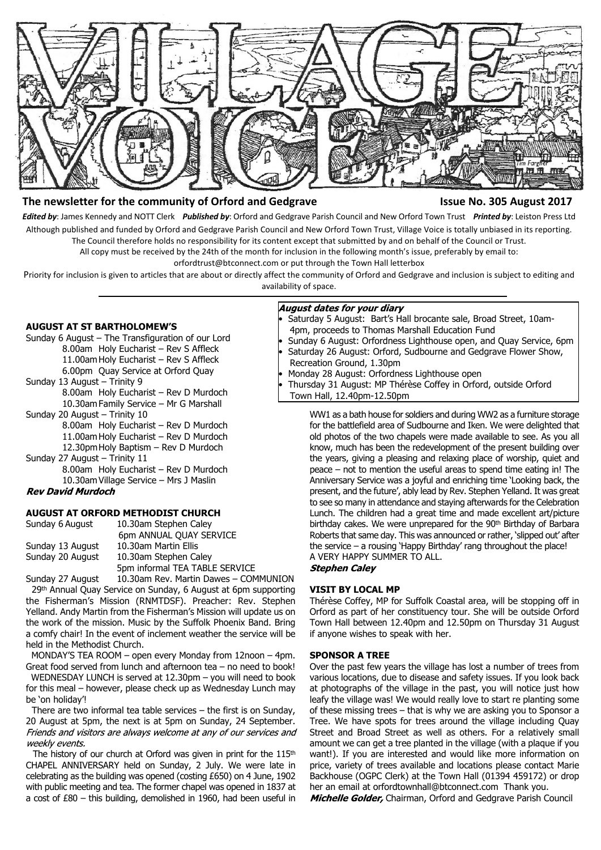

# **The newsletter for the community of Orford and Gedgrave Issue No. 305 August 2017**

*Edited by*: James Kennedy and NOTT Clerk *Published by*: Orford and Gedgrave Parish Council and New Orford Town Trust *Printed by*: Leiston Press Ltd Although published and funded by Orford and Gedgrave Parish Council and New Orford Town Trust, Village Voice is totally unbiased in its reporting. The Council therefore holds no responsibility for its content except that submitted by and on behalf of the Council or Trust.

All copy must be received by the 24th of the month for inclusion in the following month's issue, preferably by email to:

orfordtrust@btconnect.com or put through the Town Hall letterbox

Priority for inclusion is given to articles that are about or directly affect the community of Orford and Gedgrave and inclusion is subject to editing and availability of space.

# **AUGUST AT ST BARTHOLOMEW'S**

- Sunday 6 August The Transfiguration of our Lord 8.00am Holy Eucharist – Rev S Affleck 11.00am Holy Eucharist – Rev S Affleck 6.00pm Quay Service at Orford Quay Sunday 13 August – Trinity 9
	- 8.00am Holy Eucharist Rev D Murdoch 10.30am Family Service – Mr G Marshall
- Sunday 20 August Trinity 10
	- 8.00am Holy Eucharist Rev D Murdoch 11.00am Holy Eucharist – Rev D Murdoch
	- 12.30pm Holy Baptism Rev D Murdoch
- Sunday 27 August Trinity 11 8.00am Holy Eucharist – Rev D Murdoch
- 10.30am Village Service Mrs J Maslin

### **Rev David Murdoch**

# **AUGUST AT ORFORD METHODIST CHURCH**

| Sunday 6 August  | 10.30am Stephen Caley                 |
|------------------|---------------------------------------|
|                  | 6pm ANNUAL QUAY SERVICE               |
| Sunday 13 August | 10.30am Martin Ellis                  |
| Sunday 20 August | 10.30am Stephen Caley                 |
|                  | 5pm informal TEA TABLE SERVICE        |
| Sunday 27 August | 10.30am Rev. Martin Dawes - COMMUNION |

29<sup>th</sup> Annual Quay Service on Sunday, 6 August at 6pm supporting the Fisherman's Mission (RNMTDSF). Preacher: Rev. Stephen Yelland. Andy Martin from the Fisherman's Mission will update us on the work of the mission. Music by the Suffolk Phoenix Band. Bring a comfy chair! In the event of inclement weather the service will be held in the Methodist Church.

 MONDAY'S TEA ROOM – open every Monday from 12noon – 4pm. Great food served from lunch and afternoon tea – no need to book!

 WEDNESDAY LUNCH is served at 12.30pm – you will need to book for this meal – however, please check up as Wednesday Lunch may be 'on holiday'!

 There are two informal tea table services – the first is on Sunday, 20 August at 5pm, the next is at 5pm on Sunday, 24 September. Friends and visitors are always welcome at any of our services and weekly events.

The history of our church at Orford was given in print for the 115<sup>th</sup> CHAPEL ANNIVERSARY held on Sunday, 2 July. We were late in celebrating as the building was opened (costing £650) on 4 June, 1902 with public meeting and tea. The former chapel was opened in 1837 at a cost of £80 – this building, demolished in 1960, had been useful in

# **August dates for your diary**

- Saturday 5 August: Bart's Hall brocante sale, Broad Street, 10am- 4pm, proceeds to Thomas Marshall Education Fund
- Sunday 6 August: Orfordness Lighthouse open, and Quay Service, 6pm Saturday 26 August: Orford, Sudbourne and Gedgrave Flower Show,
- Recreation Ground, 1.30pm
- Monday 28 August: Orfordness Lighthouse open
- Thursday 31 August: MP Thérèse Coffey in Orford, outside Orford

Town Hall, 12.40pm-12.50pm

WW1 as a bath house for soldiers and during WW2 as a furniture storage for the battlefield area of Sudbourne and Iken. We were delighted that old photos of the two chapels were made available to see. As you all know, much has been the redevelopment of the present building over the years, giving a pleasing and relaxing place of worship, quiet and peace – not to mention the useful areas to spend time eating in! The Anniversary Service was a joyful and enriching time 'Looking back, the present, and the future', ably lead by Rev. Stephen Yelland. It was great to see so many in attendance and staying afterwards for the Celebration Lunch. The children had a great time and made excellent art/picture birthday cakes. We were unprepared for the 90<sup>th</sup> Birthday of Barbara Roberts that same day. This was announced or rather, 'slipped out' after the service – a rousing 'Happy Birthday' rang throughout the place! A VERY HAPPY SUMMER TO ALL. **Stephen Caley** 

# **VISIT BY LOCAL MP**

Thérèse Coffey, MP for Suffolk Coastal area, will be stopping off in Orford as part of her constituency tour. She will be outside Orford Town Hall between 12.40pm and 12.50pm on Thursday 31 August if anyone wishes to speak with her.

#### **SPONSOR A TREE**

Over the past few years the village has lost a number of trees from various locations, due to disease and safety issues. If you look back at photographs of the village in the past, you will notice just how leafy the village was! We would really love to start re planting some of these missing trees – that is why we are asking you to Sponsor a Tree. We have spots for trees around the village including Quay Street and Broad Street as well as others. For a relatively small amount we can get a tree planted in the village (with a plaque if you want!). If you are interested and would like more information on price, variety of trees available and locations please contact Marie Backhouse (OGPC Clerk) at the Town Hall (01394 459172) or drop her an email at [o](mailto:orfordtownhall@btconnect.com)rfordtownhall@btconnect.com Thank you.

Michelle Golder, Chairman, Orford and Gedgrave Parish Council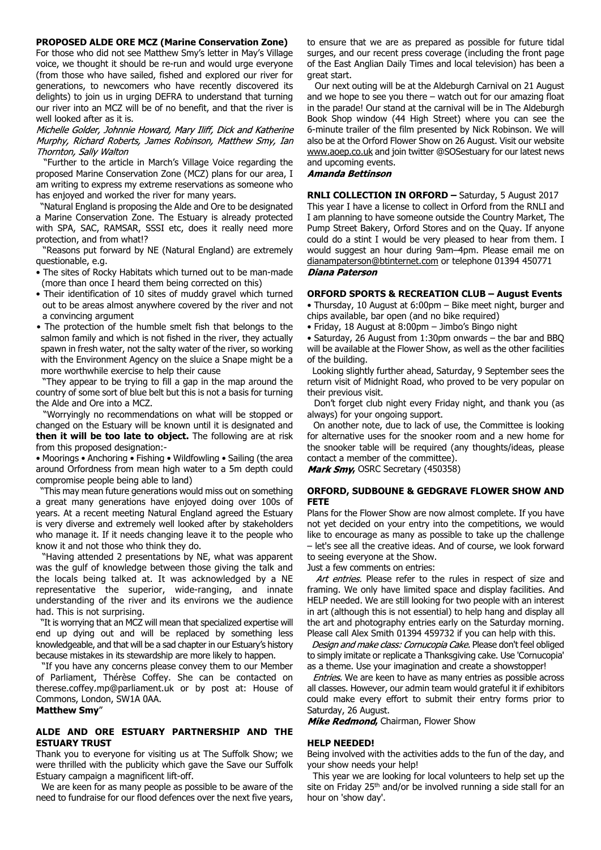#### **PROPOSED ALDE ORE MCZ (Marine Conservation Zone)**

For those who did not see Matthew Smy's letter in May's Village voice, we thought it should be re-run and would urge everyone (from those who have sailed, fished and explored our river for generations, to newcomers who have recently discovered its delights) to join us in urging DEFRA to understand that turning our river into an MCZ will be of no benefit, and that the river is well looked after as it is.

Michelle Golder, Johnnie Howard, Mary Iliff, Dick and Katherine Murphy, Richard Roberts, James Robinson, Matthew Smy, Ian Thornton, Sally Walton

 "Further to the article in March's Village Voice regarding the proposed Marine Conservation Zone (MCZ) plans for our area, I am writing to express my extreme reservations as someone who has enjoyed and worked the river for many years.

 "Natural England is proposing the Alde and Ore to be designated a Marine Conservation Zone. The Estuary is already protected with SPA, SAC, RAMSAR, SSSI etc, does it really need more protection, and from what!?

 "Reasons put forward by NE (Natural England) are extremely questionable, e.g.

- The sites of Rocky Habitats which turned out to be man-made (more than once I heard them being corrected on this)
- Their identification of 10 sites of muddy gravel which turned out to be areas almost anywhere covered by the river and not a convincing argument
- The protection of the humble smelt fish that belongs to the salmon family and which is not fished in the river, they actually spawn in fresh water, not the salty water of the river, so working with the Environment Agency on the sluice a Snape might be a more worthwhile exercise to help their cause

 "They appear to be trying to fill a gap in the map around the country of some sort of blue belt but this is not a basis for turning the Alde and Ore into a MCZ.

 "Worryingly no recommendations on what will be stopped or changed on the Estuary will be known until it is designated and **then it will be too late to object.** The following are at risk from this proposed designation:-

• Moorings • Anchoring • Fishing • Wildfowling • Sailing (the area around Orfordness from mean high water to a 5m depth could compromise people being able to land)

 "This may mean future generations would miss out on something a great many generations have enjoyed doing over 100s of years. At a recent meeting Natural England agreed the Estuary is very diverse and extremely well looked after by stakeholders who manage it. If it needs changing leave it to the people who know it and not those who think they do.

 "Having attended 2 presentations by NE, what was apparent was the gulf of knowledge between those giving the talk and the locals being talked at. It was acknowledged by a NE representative the superior, wide-ranging, and innate understanding of the river and its environs we the audience had. This is not surprising.

 "It is worrying that an MCZ will mean that specialized expertise will end up dying out and will be replaced by something less knowledgeable, and that will be a sad chapter in our Estuary's history because mistakes in its stewardship are more likely to happen.

 "If you have any concerns please convey them to our Member of Parliament, Thérèse Coffey. She can be contacted on therese.coffey.mp@parliament.uk or by post at: House of Commons, London, SW1A 0AA.

#### **Matthew Smy**"

### **ALDE AND ORE ESTUARY PARTNERSHIP AND THE ESTUARY TRUST**

Thank you to everyone for visiting us at The Suffolk Show; we were thrilled with the publicity which gave the Save our Suffolk Estuary campaign a magnificent lift-off.

 We are keen for as many people as possible to be aware of the need to fundraise for our flood defences over the next five years, to ensure that we are as prepared as possible for future tidal surges, and our recent press coverage (including the front page of the East Anglian Daily Times and local television) has been a great start.

 Our next outing will be at the Aldeburgh Carnival on 21 August and we hope to see you there – watch out for our amazing float in the parade! Our stand at the carnival will be in The Aldeburgh Book Shop window (44 High Street) where you can see the 6-minute trailer of the film presented by Nick Robinson. We will also be at the Orford Flower Show on 26 August. Visit our website www.aoep.co.uk and join twitter @SOSestuary for our latest news and upcoming events.

#### **Amanda Bettinson**

**RNLI COLLECTION IN ORFORD –** Saturday, 5 August 2017 This year I have a license to collect in Orford from the RNLI and I am planning to have someone outside the Country Market, The Pump Street Bakery, Orford Stores and on the Quay. If anyone could do a stint I would be very pleased to hear from them. I would suggest an hour during 9am–4pm. Please email me on dianampaterson@btinternet.com or telephone 01394 450771 **Diana Paterson** 

#### **ORFORD SPORTS & RECREATION CLUB – August Events**

• Thursday, 10 August at 6:00pm – Bike meet night, burger and chips available, bar open (and no bike required)

• Friday, 18 August at 8:00pm – Jimbo's Bingo night

• Saturday, 26 August from 1:30pm onwards – the bar and BBQ will be available at the Flower Show, as well as the other facilities of the building.

 Looking slightly further ahead, Saturday, 9 September sees the return visit of Midnight Road, who proved to be very popular on their previous visit.

 Don't forget club night every Friday night, and thank you (as always) for your ongoing support.

 On another note, due to lack of use, the Committee is looking for alternative uses for the snooker room and a new home for the snooker table will be required (any thoughts/ideas, please contact a member of the committee).

Mark Smy, OSRC Secretary (450358)

# **ORFORD, SUDBOUNE & GEDGRAVE FLOWER SHOW AND FETE**

Plans for the Flower Show are now almost complete. If you have not yet decided on your entry into the competitions, we would like to encourage as many as possible to take up the challenge – let's see all the creative ideas. And of course, we look forward to seeing everyone at the Show.

Just a few comments on entries:

Art entries. Please refer to the rules in respect of size and framing. We only have limited space and display facilities. And HELP needed. We are still looking for two people with an interest in art (although this is not essential) to help hang and display all the art and photography entries early on the Saturday morning. Please call Alex Smith 01394 459732 if you can help with this.

Design and make class: Cornucopia Cake. Please don't feel obliged to simply imitate or replicate a Thanksgiving cake. Use 'Cornucopia' as a theme. Use your imagination and create a showstopper!

Entries. We are keen to have as many entries as possible across all classes. However, our admin team would grateful it if exhibitors could make every effort to submit their entry forms prior to Saturday, 26 August.

Mike Redmond, Chairman, Flower Show

#### **HELP NEEDED!**

Being involved with the activities adds to the fun of the day, and your show needs your help!

 This year we are looking for local volunteers to help set up the site on Friday 25<sup>th</sup> and/or be involved running a side stall for an hour on 'show day'.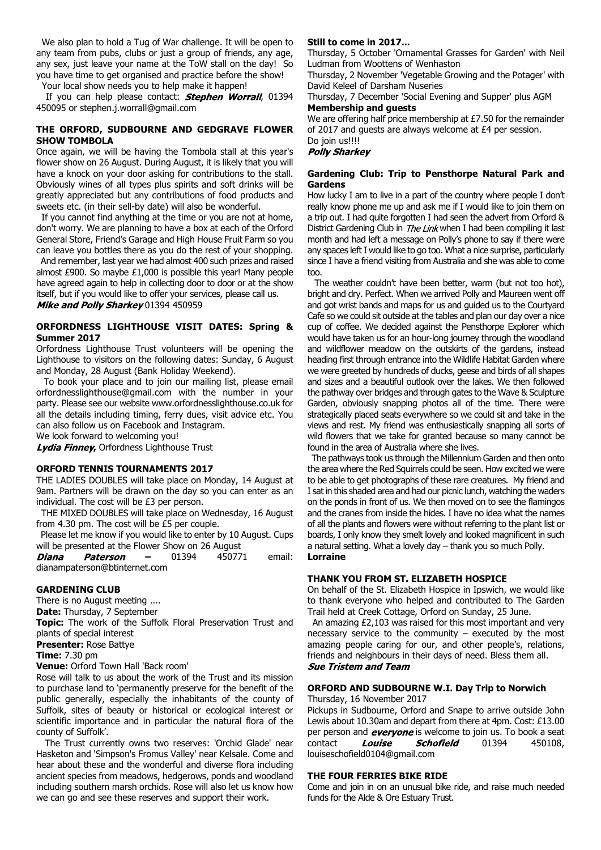We also plan to hold a Tug of War challenge. It will be open to any team from pubs, clubs or just a group of friends, any age, any sex, just leave your name at the ToW stall on the day! So you have time to get organised and practice before the show!

Your local show needs you to help make it happen!

If you can help please contact: **Stephen Worrall**, 01394 450095 or stephen.j.worrall@gmail.com

### **THE ORFORD, SUDBOURNE AND GEDGRAVE FLOWER SHOW TOMBOLA**

Once again, we will be having the Tombola stall at this year's flower show on 26 August. During August, it is likely that you will have a knock on your door asking for contributions to the stall. Obviously wines of all types plus spirits and soft drinks will be greatly appreciated but any contributions of food products and sweets etc. (in their sell-by date) will also be wonderful.

 If you cannot find anything at the time or you are not at home, don't worry. We are planning to have a box at each of the Orford General Store, Friend's Garage and High House Fruit Farm so you can leave you bottles there as you do the rest of your shopping.

 And remember, last year we had almost 400 such prizes and raised almost £900. So maybe £1,000 is possible this year! Many people have agreed again to help in collecting door to door or at the show itself, but if you would like to offer your services, please call us. Mike and Polly Sharkey 01394 450959

# **ORFORDNESS LIGHTHOUSE VISIT DATES: Spring & Summer 2017**

Orfordness Lighthouse Trust volunteers will be opening the Lighthouse to visitors on the following dates: Sunday, 6 August and Monday, 28 August (Bank Holiday Weekend).

 To book your place and to join our mailing list, please email orfordnesslighthouse@gmail.com with the number in your party. Please see our website www.orfordnesslighthouse.co.uk for all the details including timing, ferry dues, visit advice etc. You can also follow us on Facebook and Instagram.

We look forward to welcoming you!

Lydia Finney, Orfordness Lighthouse Trust

### **ORFORD TENNIS TOURNAMENTS 2017**

THE LADIES DOUBLES will take place on Monday, 14 August at 9am. Partners will be drawn on the day so you can enter as an individual. The cost will be £3 per person.

 THE MIXED DOUBLES will take place on Wednesday, 16 August from 4.30 pm. The cost will be £5 per couple.

 Please let me know if you would like to enter by 10 August. Cups will be presented at the Flower Show on 26 August

**Paterson –** 01394 450771 email: Diana dianampaterson@btinternet.com

# **GARDENING CLUB**

There is no August meeting ....

**Date:** Thursday, 7 September

**Topic:** The work of the Suffolk Floral Preservation Trust and plants of special interest

# **Presenter:** Rose Battye

**Time:** 7.30 pm

**Venue:** Orford Town Hall 'Back room'

Rose will talk to us about the work of the Trust and its mission to purchase land to 'permanently preserve for the benefit of the public generally, especially the inhabitants of the county of Suffolk, sites of beauty or historical or ecological interest or scientific importance and in particular the natural flora of the county of Suffolk'.

 The Trust currently owns two reserves: 'Orchid Glade' near Hasketon and 'Simpson's Fromus Valley' near Kelsale. Come and hear about these and the wonderful and diverse flora including ancient species from meadows, hedgerows, ponds and woodland including southern marsh orchids. Rose will also let us know how we can go and see these reserves and support their work.

### **Still to come in 2017...**

Thursday, 5 October 'Ornamental Grasses for Garden' with Neil Ludman from Woottens of Wenhaston

Thursday, 2 November 'Vegetable Growing and the Potager' with David Keleel of Darsham Nuseries

Thursday, 7 December 'Social Evening and Supper' plus AGM **Membership and guests**

We are offering half price membership at £7.50 for the remainder of 2017 and guests are always welcome at £4 per session.

# Do join us!!!!

# **Polly Sharkey**

### **Gardening Club: Trip to Pensthorpe Natural Park and Gardens**

How lucky I am to live in a part of the country where people I don't really know phone me up and ask me if I would like to join them on a trip out. I had quite forgotten I had seen the advert from Orford & District Gardening Club in *The Link* when I had been compiling it last month and had left a message on Polly's phone to say if there were any spaces left I would like to go too. What a nice surprise, particularly since I have a friend visiting from Australia and she was able to come too.

 The weather couldn't have been better, warm (but not too hot), bright and dry. Perfect. When we arrived Polly and Maureen went off and got wrist bands and maps for us and guided us to the Courtyard Cafe so we could sit outside at the tables and plan our day over a nice cup of coffee. We decided against the Pensthorpe Explorer which would have taken us for an hour-long journey through the woodland and wildflower meadow on the outskirts of the gardens, instead heading first through entrance into the Wildlife Habitat Garden where we were greeted by hundreds of ducks, geese and birds of all shapes and sizes and a beautiful outlook over the lakes. We then followed the pathway over bridges and through gates to the Wave & Sculpture Garden, obviously snapping photos all of the time. There were strategically placed seats everywhere so we could sit and take in the views and rest. My friend was enthusiastically snapping all sorts of wild flowers that we take for granted because so many cannot be found in the area of Australia where she lives.

 The pathways took us through the Millennium Garden and then onto the area where the Red Squirrels could be seen. How excited we were to be able to get photographs of these rare creatures. My friend and I sat in this shaded area and had our picnic lunch, watching the waders on the ponds in front of us. We then moved on to see the flamingos and the cranes from inside the hides. I have no idea what the names of all the plants and flowers were without referring to the plant list or boards, I only know they smelt lovely and looked magnificent in such a natural setting. What a lovely day – thank you so much Polly. **Lorraine**

#### **THANK YOU FROM ST. ELIZABETH HOSPICE**

On behalf of the St. Elizabeth Hospice in Ipswich, we would like to thank everyone who helped and contributed to The Garden Trail held at Creek Cottage, Orford on Sunday, 25 June.

 An amazing £2,103 was raised for this most important and very necessary service to the community  $-$  executed by the most amazing people caring for our, and other people's, relations, friends and neighbours in their days of need. Bless them all. **Sue Tristem and Team** 

# **ORFORD AND SUDBOURNE W.I. Day Trip to Norwich**

Thursday, 16 November 2017

Pickups in Sudbourne, Orford and Snape to arrive outside John Lewis about 10.30am and depart from there at 4pm. Cost: £13.00 per person and **everyone** is welcome to join us. To book a seat<br>contact **Louise Schofield** 01394 450108, contact **Louise Schofield** 01394 louiseschofield0104@gmail.com

#### **THE FOUR FERRIES BIKE RIDE**

Come and join in on an unusual bike ride, and raise much needed funds for the Alde & Ore Estuary Trust.